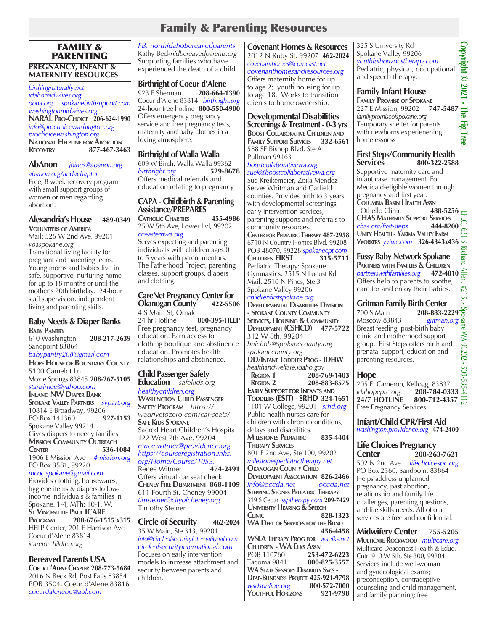# Family & Parenting Resources

### FAMILY & PARENTING **PREGNANCY, INFANT & MATERNITY RESOURCES**

#### *birthingnaturally.net idahomidwives.org dona.org spokanebirthsupport.com washingtonmidwives.org* **NARAL Pro-Choice 206-624-1990** *info@prochoicewashington.org prochoicewashington.org* **National Helpline for Abortion Recovery 877-467-3463**

#### **AbAnon** *joinus@abanon.org abanon.org/findachapter*

Free, 8 week recovery program with small support groups of women or men regarding abortion.

### **Alexandria's House 489-0349 Volunteers of America**

Mail: 525 W 2nd Ave, 99201 *voaspokane.org* Transitional living facility for pregnant and parenting teens. Young moms and babies live in safe, supportive, nurturing home for up to 18 months or until the mother's 20th birthday. 24-hour staff supervision, independent living and parenting skills.

# **Baby Needs & Diaper Banks**

**Baby Pantry** 610 Washington **208-217-2639** Sandpoint 83864 *babypantry208@gmail.com* **Hope House of Boundary County** 5100 Camelot Ln Moxie Springs 83845 **208-267-5105** *stansimee@yahoo.com* **Inland NW Diaper Bank Spokane Valley Partners** *svpart.org* 10814 E Broadway, 99206 PO Box 141360 **927-1153** Spokane Valley 99214 Gives diapers to needy families. **MISSION COMMUNITY OUTREACH**<br> **CENTER** 536-1 **Center 536-1084** 1906 E Mission Ave *4mission.org* PO Box 3581, 99220 *mcoc.spokane@gmail.com* Provides clothing, housewares,

hygiene items & diapers to lowincome individuals & families in Spokane. 1-4, MTh; 10-1, W. **St Vincent de Paul ICARE Program 208-676-1515 x315** HELP Center, 201 E Harrison Ave Coeur d'Alene 83814 *icareforchildren.org*

### **Bereaved Parents USA**

**Coeur d'Alene Chapter 208-773-5684** 2016 N Beck Rd, Post Falls 83854 POB 3504, Coeur d'Alene 83816 *coeurdalenebp@aol.com*

*FB: northidahobereavedparents* Kathy Beck*nidbereavedparents.org* Supporting families who have experienced the death of a child.

### **Birthright of Coeur d'Alene**

923 E Sherman **208-664-1390** Coeur d'Alene 83814 *birthright.org* 24-hour free hotline **800-550-4900** Offers emergency pregnancy service and free pregnancy tests, maternity and baby clothes in a loving atmosphere.

**Birthright of Walla Walla** 609 W Birch, Walla Walla 99362<br>birthright.org 529-8678

 $birthright.org$ Offers medical referrals and education relating to pregnancy

### **CAPA - Childbirth & Parenting Assistance/PREPARES**

**Catholic Charities 455-4986** 25 W 5th Ave, Lower Lvl, 99202 *cceasternwa.org*

Serves expecting and parenting individuals with children ages 0 to 5 years with parent mentors, The Fatherhood Project, parenting classes, support groups, diapers and clothing.

#### **CareNet Pregnancy Center for Okanogan County 422-5506** 4 S Main St, Omak 24 hr Hotline **800-395-HELP**

Free pregnancy test, pregnancy education. Earn access to clothing boutique and abstinence education. Promotes health relationships and abstinence.

### **Child Passenger Safety**

**Education** *safekids.org healthychildren.org* **WASHINGTON CHILD PASSENGER Safety Program** *https:// wadrivetozero.com/car-seats/* **Safe Kids Spokane** Sacred Heart Children's Hospital 122 West 7th Ave, 99204 *renee.witmer@providence.org https://courseregistration.inhs. org/Home/Course/1053.*  **Renee Witmer** Offers virtual car seat check. **Cheney Fire Department 868-1109** 611 Fourth St, Cheney 99004 *timsteiner@cityofcheney.org* Timothy Steiner

**Circle of Security 462-2024** 35 W Main, Ste 313, 99201 *info@circleofsecurityinternational.com circleofsecurityinternational.com* Focuses on early intervention models to increase attachment and security between parents and children.

**Covenant Homes & Resources** 2012 N Ruby St, 99207 **462-2024** *covenanthomes@comcast.net covenanthomesandresources.org* Offers maternity home for up to age 2; youth housing for up to age 18. Works to transition clients to home ownership.

### **Developmental Disabilities Screenings & Treatment - 0-3 yrs**

**Boost Collaborative Children and Family Support Services 332-6561** 588 SE Bishop Blvd, Ste A Pullman 99163 *boostcollaborativewa.org*

### *suek@boostcollaborativewa.org*

Sue Kreikemeier, Zoila Mendez Serves Whitman and Garfield counties. Provides birth to 3 years with developmental screenings, early intervention services, parenting supports and referrals to community resources. **Center for Pediatric Therapy 487-2958** 6710 N Country Homes Blvd, 99208 POB 48070, 99228 *spokanecpt.com*<br>CHILDREN FIRST 315-5711 **Children FIRST 315-5711** Pediatric Therapy: Spokane Gymnastics, 2515 N Locust Rd Mail: 2510 N Pines, Ste 3 Spokane Valley 99206

### *childrenfirstspokane.org*

**Developmental Disabilities Division - Spokane County Community Services, Housing & Community Development (CSHCD) 477-5722**  312 W 8th, 99204 *bnichols@spokanecounty.org spokanecounty.org* **DD/Infant Toddler Prog - IDHW** *healthandwelfare.idaho.gov* **REGION 1 208-769-1403**<br>**REGION 2 208-883-8575 Region 2 208-883-8575 Early Support for Infants and Toddlers (ESIT) - SRHD 324-1651** 1101 W College, 99201 *srhd.org* Public health nurses care for children with chronic conditions, delays and disabilities. **Milestones Pediatric 835-4404 Therapy Services** 801 E 2nd Ave, Ste 100, 99202 *milestonespediatrictherapy.net*  **OKANOGAN COUNTY CHILD Development Association 826-2466** *info@occda.net occda.net* **Stepping Stones Pediatric Therapy** 319 S Cedar *ssptherapy.com* **209-7429 University Hearing & Speech Clinic 828-1323 WA Dept of Services for the Blind 456-4458 WSEA Therapy Prog for** *waelks.net* **CHILDREN - WA ELKS ASSN**<br>POB 110760 253-POB 110760 **253-472-6223** Tacoma 98411 **800-825-3557 WA State Sensory Disability Svcs - Deaf-Blindness Project 425-921-9798** *wsdsonline.org* **800-572-7000 YOUTHFUL HORIZONS** 

325 S University Rd Spokane Valley 99206 *youthfulhorizonstherapy.com* Pediatric, physical, occupational and speech therapy.

### **Family Infant House**

**Family Promise of Spokane** 325 S University Rd<br>Spokane Valley 99206<br>youthfulhorizonstherapy.com<br>Pediatric, physical, occupational<br>and speech therapy.<br>and speech therapy.<br>**Family Infant House**<br>FAMILY PROMISE OF SPOKANE<br>227 E Mission, 99202 747-5487<br>f *familypromiseofspokane.org* Temporary shelter for parents with newborns experienening homelessness **Copyright © 2021 - The Fig Tree** 

### **First Steps/Community Health Services 800-322-2588**

Supportive maternity care and infant case management. For Medicaid-eligible women through pregnancy and first year. **COLUMBIA BASIN HEALTH ASSN**<br>
Othello Clinic<br>
2 **Othello Clinic CHAS Maternity Support Services**  $chas.org/first-steps$ **Unify Health - Yakima Valley Farm Workers** *yvfwc.com* **326-4343x436**

**Fussy Baby Network Spokane PARTNERS WITH FAMILIES & CHILDREN**<br>*partnerswithfamilies.org* 472-4810 *partnerswithfamilies.org* **472-4810** Offers help to parents to soothe, care for and enjoy their babies.

### **Gritman Family Birth Center**

700 S Main **208-883-2229** Moscow 83843 *gritman.org* Breast feeding, post-birth baby clinic and motherhood support group. First Steps offers birth and prenatal support, education and parenting resources.

### **Hope**

205 E. Cameron, Kellogg, 83837 *idahopeprc.org* **208-784-0333 24/7 HOTLINE 800-712-4357** Free Pregnancy Services

**Infant/Child CPR/First Aid** *washington.providence.org* **474-2400**

### **Life Choices Pregnancy Center 208-263-7621**

502 N 2nd Ave *lifechoicespc.org* PO Box 2360, Sandpoint 83864 Helps address unplanned pregnancy, past abortion, relationship and family life challenges, parenting questions, and life skills needs. All of our services are free and confidential.

**Midwifery Center 755-5205 Multicare Rockwood** *multicare.org* Multicare Deaconess Health & Educ. Cntr, 910 W 5th, Ste 300, 99204 Services include well-woman and gynecological exams; preconception, contraceptive counseling and child management, and family planning; free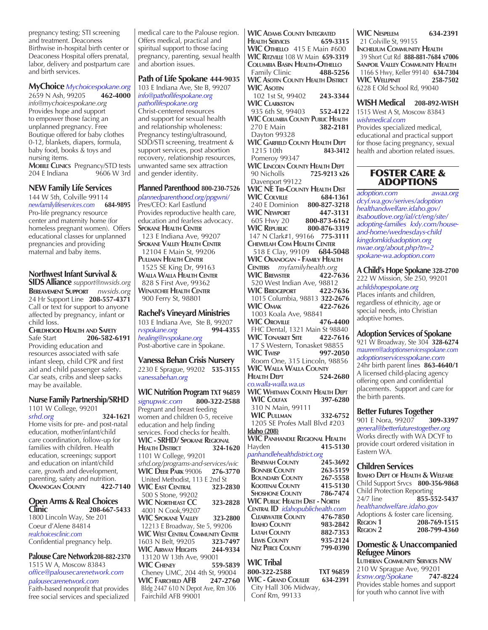pregnancy testing; STI screening and treatment. Deaconess Birthwise in-hospital birth center or Deaconess Hospital offers prenatal, labor, delivery and postpartum care and birth services.

# **MyChoice** *Mychoicespokane.org*

2659 N Ash, 99205 **462-4000** *info@mychoicespokane.org* Provides hope and support to empower those facing an unplanned pregnancy. Free Boutique offered for baby clothes 0-12, blankets, diapers, formula, baby food, books & toys and nursing items. **Mobile Clinics** Pregnancy/STD tests 204 E Indiana 9606 W 3rd

#### **NEW Family Life Services**

144 W 5th, Colville 99114 *newfamilylifeservices.com* **684-9895** Pro-life pregnancy resource center and maternity home (for homeless pregnant women). Offers educational classes for unplanned pregnancies and providing maternal and baby items.

### **Northwest Infant Survival &**

**SIDS Alliance** *support@nwsids.org* **Bereavement Support** *nwsids.org* 24 Hr Support Line **208-557-4371**  Call or text for support to anyone affected by pregnancy, infant or child loss.

**Childhood Health and Safety** Safe Start **206-582-6191**  Providing education and resources associated with safe infant sleep, child CPR and first aid and child passenger safety. Car seats, cribs and sleep sacks may be available.

### **Nurse Family Partnership/SRHD**

1101 W College, 99201 *srhd.org* **324-1621** Home visits for pre- and post-natal education, mother/infant/child care coordination, follow-up for families with children. Health education, screenings; support and education on infant/child care, growth and development, parenting, safety and nutrition. **Okanogan County 422-7140**

### **Open Arms & Real Choices Clinic 208-667-5433**

1800 Lincoln Way, Ste 201 Coeur d'Alene 84814 *realchoicesclinic.com* Confidential pregnancy help.

**Palouse Care Network208-882-2370** 1515 W A, Moscow 83843

*office@palousecarenetwork.com palousecarenetwork.com*  Faith-based nonprofit that provides free social services and specialized

medical care to the Palouse region. Offers medical, practical and spiritual support to those facing pregnancy, parenting, sexual health and abortion issues.

### **Path of Life Spokane 444-9035**

103 E Indiana Ave, Ste B, 99207 *info@pathoflifespokane.org pathoflifespokane.org* Christ-centered resources and support for sexual health and relationship wholeness: Pregnancy testing/ultrasound, SDD/STI screening, treatment & support services, post abortion recovery, relationship resources, unwanted same sex attraction and gender identity.

### **Planned Parenthood 800-230-7526**

*plannedparenthood.org/ppgwni/* Pres/CEO: Karl Eastlund Provides reproductive health care, education and fearless advocacy. **Spokane Health Center** 123 E Indiana Ave, 99207 **Spokane Valley Health Center** 12104 E Main St, 99206 **Pullman Health Center** 1525 SE King Dr, 99163 **Walla Walla Health Center** 828 S First Ave, 99362 **Wenatchee Health Center** 900 Ferry St, 98801

### **Rachel's Vineyard Ministries**

103 E Indiana Ave, Ste B, 99207<br>ryspokane.org 994-4355  $r$ *vspokane.org healing@rvspokane.org* Post-abortive care in Spokane.

#### **Vanessa Behan Crisis Nursery**

2230 E Sprague, 99202 **535-3155**  *vanessabehan.org*

**WIC Nutrition Program TXT 96859** *signupwic.com* **800-322-2588** Pregnant and breast feeding women and children 0-5, receive education and help finding services. Food checks for health. **WIC - SRHD/ Spokane Regional Health District 324-1620** 1101 W College, 99201 *srhd.org/programs-and-services/wic* **WIC DEER PARK** 99006 United Methodist, 113 E 2nd St **WIC East Central 323-2830** 500 S Stone, 99202 **WIC Northeast CC 323-2828** 4001 N Cook,99207 **WIC Spokane Valley 323-2800** 12213 E Broadway, Ste 5, 99206 **WIC WEST CENTRAL COMMUNITY CENTER**<br>1603 N Belt, 99205 **323-7497** 1603 N Belt, 99205 **WIC Airway Heights 244-9334** 13120 W 13th Ave, 99001<br>**WIC C**HENEY 559-5839 **WIC CHENEY**  Cheney UMC, 204 4th St, 99004 **WIC Fairchild AFB 247-2760** Bldg 2447 610 N Depot Ave, Rm 306 Fairchild AFB 99001

**WIC Adams County Integrated Health Services 659-3315 WIC Othello** 415 E Main #600 **WIC Ritzville** 108 W Main **659-3319 Columbia Basin Health-Othello** Family Clinic **488-5256 WIC Asotin County Health District**

**WIC Asotin** 102 1st St, 99402**243-3344 WIC Clarkston** 935 6th St, 99403 **552-4122 WIC COLUMBIA COUNTY PUBLIC HEALTH**<br>270 E Main **382-2181**  270 E Main **382-2181** Dayton 99328 **WIC GARFIELD COUNTY HEALTH DEPT**<br>1215 10th **843-3412**  1215 10th **843-3412** Pomeroy 99347 **WIC LINCOLN COUNTY HEALTH DEPT**<br>90 Nicholls **725-9213 x2**  90 Nicholls **725-9213 x26**  Davenport 99122 **WIC NE Tri-County Health Dist WIC Colville 684-1361** 240 E Dominion **800-827-3218 WIC Newport 447-3131** 605 Hwy 20 **800-873-6162 WIC Republic 800-876-3319** 147 N Clark#1, 99166 **775-3111 Chewelah Com Health Center** 518 E Clay, 99109 **684-5048 WIC Okanogan - Family Health Centers** *myfamilyhealth.org* **WIC BREWSTER** 520 West Indian Ave, 98812<br>**NIC BRIDGEPORT** 422-7636 **WIC BRIDGEPORT**  1015 Columbia, 98813 **322-2676 WIC Omak 422-7626** 1003 Koala Ave, 98841 **WIC Oroville 476-4400** FHC Dental, 1321 Main St 98840 **WIC Tonasket Site 422-7616** 17 S Western, Tonasket 98855<br>**NIC T**wise 997-2050 **WIC Twisp**  Room One, 315 Lincoln, 98856 **WIC WALLA WALLA COUNTY<br>HEALTH DEPT 524-2680 HEALTH DEPT** *co.walla-walla.wa.us* **WIC Whitman County Health Dept WIC COLFAX**  310 N Main, 99111 **WIC Pullman 332-6752** 1205 SE Profes Mall Blvd #203 **Idaho (208) WIC Panhandle Regional Health** Hayden **415-5130** *panhandlehealthdistrict.org*   **Benewah County 245-3692 BONNER COUNTY** 263-5159<br>**BOUNDARY COUNTY** 267-5558  **BOUNDARY COUNTY** 267-5558<br> **KOOTENAI COUNTY** 415-5130 **KOOTENAI COUNTY** 415-5130<br>**SHOSHONE COUNTY** 786-7474 **SHOSHONE COUNTY WIC Public Health Dist - North Central ID** *idahopublichealth.com* **Clearwater County 476-7850 IDAHO COUNTY** 983-2842<br> **LATAH COUNTY 882-7353 LATAH COUNTY Lewis County 935-2124 Nez Perce County 799-0390**

#### **WIC Tribal 800-322-2588 TXT 96859 WIC - Grand Coullee 634-2391** City Hall 306 Midway, Conf Rm, 99133

**WIC Nespelem 634-2391** 21 Colville St, 99155 **Inchelium Community Health** 39 Short Cut Rd **888-881-7684 x7006 Sanpoil Valley Community Health** 1166 S Hwy, Keller 99140 **634-7304 WIC WELLPINIT** 6228 E Old School Rd, 99040

**WISH Medical 208-892-WISH** 1515 West A St, Moscow 83843 *wishmedical.com*

Provides specialized medical, educational and practical support for those facing pregnancy, sexual health and abortion related issues.

### FOSTER CARE & ADOPTIONS

*adoption.com awaa.org dcyf.wa.gov/serives/adoption healthandwelfare.idaho.gov/ itsaboutlove.org/ial/ct/eng/site/ adopting-families kxly.com/houseand-home/wednesdays-child kingdomkidsadoption.org nwae.org/about.php?tn=2 spokane-wa.adoption.com*

### **A Child's Hope Spokane 328-2700**

222 W Mission, Ste 250, 99201 *achildshopespokane.org* Places infants and children, regardless of ethnicity, age or special needs, into Christian adoptive homes.

#### **Adoption Services of Spokane**

921 W Broadway, Ste 304 **328-6274**  *maureen@adoptionservicesspokane.com adoptionservicesspokane.com* 24hr birth parent lines **863-4640/1** A licensed child-placing agency offering open and confidential placements. Support and care for the birth parents.

### **Better Futures Together**

901 E Nora, 99207 **309-3397** *general@betterfuturestogether.org* Works directly with WA DCYF to provide court ordered visitation in Eastern WA.

### **Children Services**

**Idaho Dept of Health & Welfare** Child Support Srvcs **800-356-9868** Child Protection Reporting<br>24/7 line **855-5** 24/7 line **855-552-5437** *healthandwelfare.idaho.gov* Adoptions & foster care licensing.<br>REGION 1 208-769-151 **REGION 1 208-769-1515**<br>**REGION 2 208-799-4360 Region 2 208-799-4360**

### **Domestic & Unaccompanied Refugee Minors**

**Lutheran Community Services NW** 210 W Sprague Ave, 99201 *lcsnw.org/Spokane* **747-8224** Provides stable homes and support for youth who cannot live with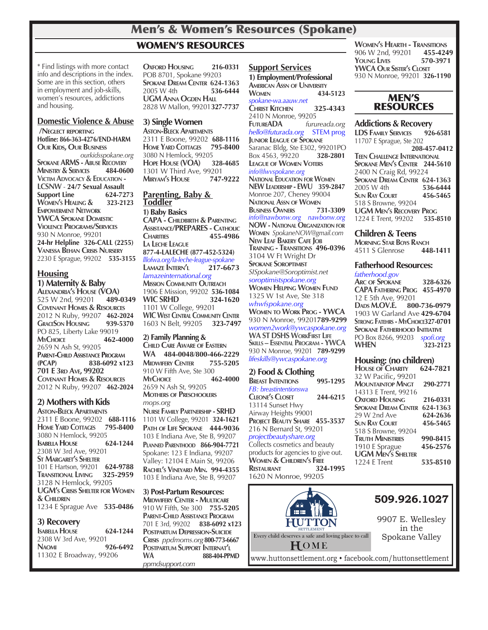### Men's & Women's Resources (Spokane)

### WOMEN'S RESOURCES

\* Find listings with more contact info and descriptions in the index. Some are in this section, others in employment and job-skills, women's resources, addictions and housing.

### **Domestic Violence & Abuse**

 **/Neglect reporting Hotline: 866-363-4276/END-HARM Our Kids, Our Business** *ourkidsspokane.org* **SPOKANE ARMS - ABUSE RECOVERY**<br>**MINISTRY & SERVICES** 484-0600 **MINISTRY & SERVICES** 484-06<br>**VICTIM ADVOCACY & EDUCATION -Victim Advocacy & Education - LCSNW** - **24/7 Sexual Assault Support Line** 624-7273<br> **WOMEN'S HEALING & 323-2123 WOMEN'S HEALING & Empowerment Network YWCA Spokane Domestic Violence Programs/Services** 930 N Monroe, 99201 **24-hr Helpline 326-CALL (2255) Vanessa Behan Crisis Nursery** 2230 E Sprague, 99202 **535-3155**

### **Housing**

**1) Maternity & Baby Alexandria's House (VOA)** 525 W 2nd, 99201 **Covenant Homes & Resources** 2012 N Ruby, 99207 **462-2024 GRACESON HOUSING** PO 825, Liberty Lake 99019 **MyChoice 462-4000** 2659 N Ash St, 99205 **Parent-Child Assistance Program (PCAP) 838-6092 x123 701 E 3rd Ave, 99202 Covenant Homes & Resources** 2012 N Ruby, 99207 **462-2024**

### **2) Mothers with Kids**

**Aston-Bleck Apartments** 2311 E Boone, 99202 **688-1116 Home Yard Cottages 795-8400 3080 N Hemlock, 99205**<br>**ISABELLA HOUSE** 624-1244 **ISABELLA HOUSE** 2308 W 3rd Ave, 99201 **St Margaret's Shelter** 101 E Hartson, 99201 **624-9788 Transitional Living 325-2959** 3128 N Hemlock, 99205 **UGM's Crisis Shelter for Women & Children** 1234 E Sprague Ave **535-0486**

### **3) Recovery**

**Isabella House 624-1244** 2308 W 3rd Ave, 99201 **Naomi 926-6492** 11302 E Broadway, 99206

**Oxford Housing 216-0331** POB 8701, Spokane 99203 **SPOKANE DREAM CENTER 624-1363**<br>2005 W 4th 536-6444 536-6444 **UGM Anna Ogden Hall** 2828 W Mallon, 99201**327-7737**

### **3) Single Women**

**Aston-Bleck Apartments** 2311 E Boone, 99202 **688-1116 HOME** YARD COTTAGES 3080 N Hemlock, 99205<br>**Hope House (VOA)** 328-4685 **HOPE HOUSE** (VOA) 1301 W Third Ave, 99201<br>MIRYAM'S HOUSE 747-9222 **Miryam's House 747-9222**

#### **Parenting, Baby & Toddler 1) Baby Basics**

**CAPA - Childbirth & Parenting Assistance/PREPARES - Catholic Charities 455-4986 La Leche League 877-4-LALECHE (877-452-5324)** *lllofwa.org/la-leche-league-spokane* **Lamaze Intern'l 217-6673** *lamazeinternational.org* **Mission Community Outreach** 1906 E Mission, 99202 **536-1084 WIC SRHD 324-1620** 1101 W College, 99201 **WIC West Central Community Center** 1603 N Belt, 99205 **323-7497**

**2) Family Planning & Child Care Aware of Eastern WA 484-0048**/**800-466-2229 Midwifery Center 755-5205** 910 W Fifth Ave, Ste 300 **MyChoice 462-4000** 2659 N Ash St, 99205 **Mothers of Preschoolers** *mops.org* **Nurse Family Partnership - SRHD**

1101 W College, 99201 **324-1621 Path of Life Spokane 444-9036** 103 E Indiana Ave, Ste B, 99207 **Planned Parenthood 866-904-7721** Spokane: 123 E Indiana, 99207 Valley: 12104 E Main St, 99206 **Rachel's Vineyard Min. 994-4355** 103 E Indiana Ave, Ste B, 99207

**3) Post-Partum Resources: Midwifery Center - Multicare** 910 W Fifth, Ste 300 **755-5205 Parent-Child Assistance Program** 701 E 3rd, 99202 **838-6092 x123 Postpartum Depression-Suicide Crisis** *ppdmoms.org***800-773-6667 Postpartum Support Internat'l WA 888-404-PPMD** *ppmdsupport.com*

### **Support Services**

**1) Employment/Professional American Assn of University Women 434-5123** *spokane-wa.aauw.net* **Christ Kitchen 325-4343** 2410 N Monroe, 99205 **FutureADA** *furureada.org hello@futurada.org* STEM prog **Junior League of Spokane** Saranac Bldg, Ste E302, 99201PO Box 4563, 99220 **328-2801 League of Women Voters** *info@lwvspokane.org*  **National Education for Women NEW Leadership - EWU 359-2847** Monroe 207, Cheney 99004 **NATIONAL ASSN OF WOMEN**<br>**BUSINESS OWNERS** 731-3309 **BUSINESS OWNERS** *info@nawbonw.org nawbonw.org* **NOW - National Organization for Women** *SpokaneNOW@gmail.com* **New Leaf Bakery Cafe Job Training - Transitions 496-0396** 3104 W Ft Wright Dr **Spokane Soroptimist** *SISpokane@Soroptimist.net soroptimistspokane.org* **Women Helping Women Fund**  1325 W 1st Ave, Ste 318 *whwfspokane.org* **Women to Work Prog - YWCA**  930 N Monroe, 99201**789-9299** *women2work@ywcaspokane.org*

**WA ST DSHS WorkFirst Life Skills – Essential Program - YWCA**  930 N Monroe, 99201 **789-9299** *lifeskills@ywcaspokane.org* 

### **2) Food & Clothing**

**Breast Intentions 995-1295** *FB: breastintentionswa* **Cleone's Closet 244-6215** 13114 Sunset Hwy Airway Heights 99001 **Project Beauty Share 455-3537** 216 N Bernard St, 99201 *projectbeautyshare.org* Collects cosmetics and beauty products for agencies to give out. **Women & Children's Free Restaurant 324-1995** 1620 N Monroe, 99205

**Women's Hearth - Transitions** 906 W 2nd, 99201 **455-4249 YOUNG LIVES YWCA Our Sister's Closet** 930 N Monroe, 99201 **326-1190**

### MEN'S **RESOURCES**

#### **Addictions & Recovery**

**LDS Family Services 926-6581** 11707 E Sprague, Ste 202 **208-457-0412 Teen Challenge International Spokane Men's Center 244-5610** 2400 N Craig Rd, 99224 **SPOKANE DREAM CENTER** 624-1363<br>2005 W 4th 536-6444 2005 W 4th **536-6444 SUN RAY COURT** 518 S Browne, 99204 **UGM Men's Recovery Prog** 1224 E Trent, 99202 **535-8510**

### **Children & Teens**

**Morning Star Boys Ranch** 4511 S Glenrose

#### **Fatherhood Resources:**

*fatherhood.gov* **Arc of Spokane 328-6326 CAPA Fathering Prog 455-4970** 12 E 5th Ave, 99201<br>Dads M.OV.E. 800-736-0979 **DADS M.OV.E.** 1903 W Garland Ave **429-6704 Strong Fatehrs - MyChoice327-0701 SPOKANE FATHERHOOD INITIATIVE** PO Box 8266, 99203 *spofi.org* **WHEN 323-2123**

### **Housing: (no children)**

| <b>HOUSE OF CHARITY</b>  | 624-7821 |
|--------------------------|----------|
| 32 W Pacific, 99201      |          |
| <b>MOUNTAINTOP MNGT</b>  | 290-2771 |
| 14313 E Trent, 99216     |          |
| <b>OXFORD HOUSING</b>    | 216-0331 |
| Spokane Dream Center     | 624-1363 |
| 29 W 2nd Ave             | 624-2636 |
| <b>SUN RAY COURT</b>     | 456-5465 |
| 518 S Browne, 99204      |          |
| <b>TRUTH MINISTRIES</b>  | 990-8415 |
| 1910 E Sprague           | 456-2576 |
| <b>UGM MEN'S SHELTER</b> |          |
| <b>1224 E Trent</b>      | 535-8510 |



www.huttonsettlement.org • facebook.com/huttonsettlement